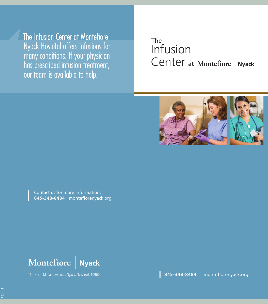The Infusion Center at Montefiore Nyack Hospital offers infusions for many conditions. If your physician has prescribed infusion treatment, our team is available to help.

# Infusion Center **at** The



Contact us for more information. **845-348-8484 |** montefiorenyack.org

Montefiore **Nyack** 

160 North Midland Avenue, Nyack, New York 10960 **845-348-8484** | montefiorenyack.org